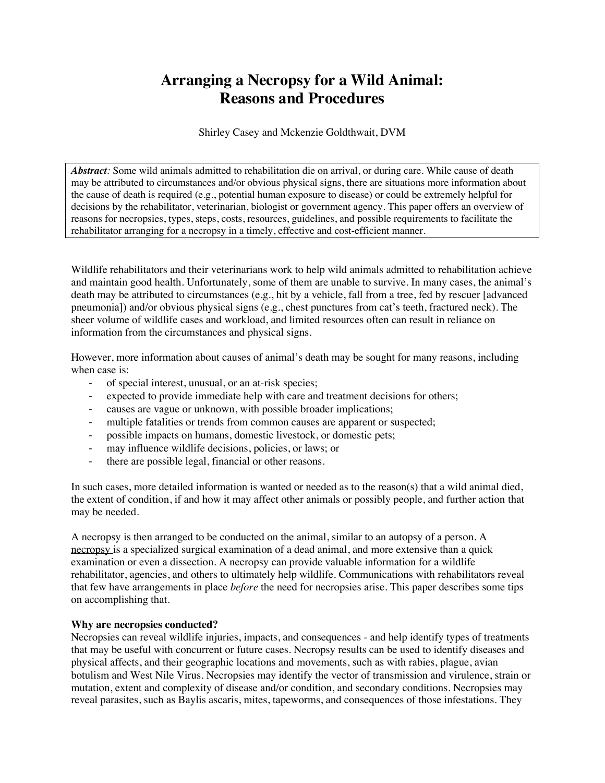# **Arranging a Necropsy for a Wild Animal: Reasons and Procedures**

Shirley Casey and Mckenzie Goldthwait, DVM

*Abstract*: Some wild animals admitted to rehabilitation die on arrival, or during care. While cause of death may be attributed to circumstances and/or obvious physical signs, there are situations more information about the cause of death is required (e.g., potential human exposure to disease) or could be extremely helpful for decisions by the rehabilitator, veterinarian, biologist or government agency. This paper offers an overview of reasons for necropsies, types, steps, costs, resources, guidelines, and possible requirements to facilitate the rehabilitator arranging for a necropsy in a timely, effective and cost-efficient manner.

Wildlife rehabilitators and their veterinarians work to help wild animals admitted to rehabilitation achieve and maintain good health. Unfortunately, some of them are unable to survive. In many cases, the animal's death may be attributed to circumstances (e.g., hit by a vehicle, fall from a tree, fed by rescuer [advanced pneumonia]) and/or obvious physical signs (e.g., chest punctures from cat's teeth, fractured neck). The sheer volume of wildlife cases and workload, and limited resources often can result in reliance on information from the circumstances and physical signs.

However, more information about causes of animal's death may be sought for many reasons, including when case is:

- of special interest, unusual, or an at-risk species;
- expected to provide immediate help with care and treatment decisions for others;
- causes are vague or unknown, with possible broader implications;
- multiple fatalities or trends from common causes are apparent or suspected;
- possible impacts on humans, domestic livestock, or domestic pets;
- may influence wildlife decisions, policies, or laws; or
- there are possible legal, financial or other reasons.

In such cases, more detailed information is wanted or needed as to the reason(s) that a wild animal died, the extent of condition, if and how it may affect other animals or possibly people, and further action that may be needed.

A necropsy is then arranged to be conducted on the animal, similar to an autopsy of a person. A necropsy is a specialized surgical examination of a dead animal, and more extensive than a quick examination or even a dissection. A necropsy can provide valuable information for a wildlife rehabilitator, agencies, and others to ultimately help wildlife. Communications with rehabilitators reveal that few have arrangements in place *before* the need for necropsies arise. This paper describes some tips on accomplishing that.

### **Why are necropsies conducted?**

Necropsies can reveal wildlife injuries, impacts, and consequences - and help identify types of treatments that may be useful with concurrent or future cases. Necropsy results can be used to identify diseases and physical affects, and their geographic locations and movements, such as with rabies, plague, avian botulism and West Nile Virus. Necropsies may identify the vector of transmission and virulence, strain or mutation, extent and complexity of disease and/or condition, and secondary conditions. Necropsies may reveal parasites, such as Baylis ascaris, mites, tapeworms, and consequences of those infestations. They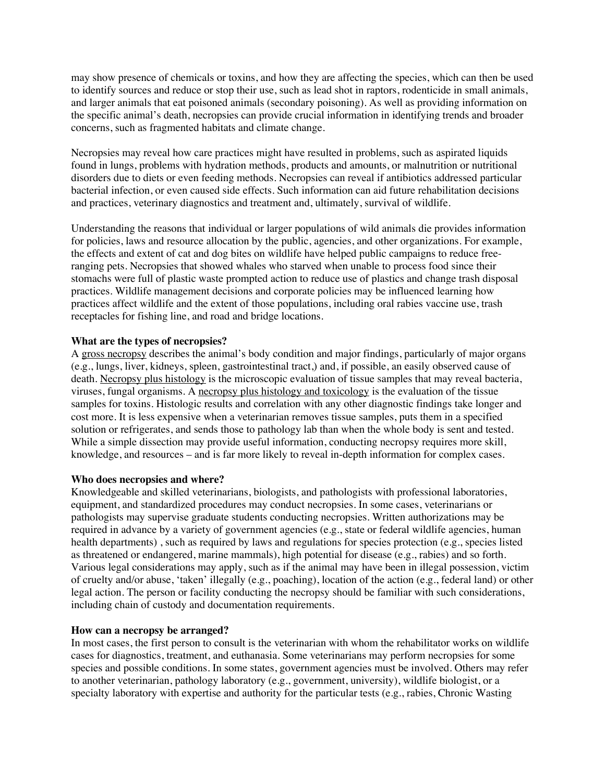may show presence of chemicals or toxins, and how they are affecting the species, which can then be used to identify sources and reduce or stop their use, such as lead shot in raptors, rodenticide in small animals, and larger animals that eat poisoned animals (secondary poisoning). As well as providing information on the specific animal's death, necropsies can provide crucial information in identifying trends and broader concerns, such as fragmented habitats and climate change.

Necropsies may reveal how care practices might have resulted in problems, such as aspirated liquids found in lungs, problems with hydration methods, products and amounts, or malnutrition or nutritional disorders due to diets or even feeding methods. Necropsies can reveal if antibiotics addressed particular bacterial infection, or even caused side effects. Such information can aid future rehabilitation decisions and practices, veterinary diagnostics and treatment and, ultimately, survival of wildlife.

Understanding the reasons that individual or larger populations of wild animals die provides information for policies, laws and resource allocation by the public, agencies, and other organizations. For example, the effects and extent of cat and dog bites on wildlife have helped public campaigns to reduce freeranging pets. Necropsies that showed whales who starved when unable to process food since their stomachs were full of plastic waste prompted action to reduce use of plastics and change trash disposal practices. Wildlife management decisions and corporate policies may be influenced learning how practices affect wildlife and the extent of those populations, including oral rabies vaccine use, trash receptacles for fishing line, and road and bridge locations.

# **What are the types of necropsies?**

A gross necropsy describes the animal's body condition and major findings, particularly of major organs (e.g., lungs, liver, kidneys, spleen, gastrointestinal tract,) and, if possible, an easily observed cause of death. Necropsy plus histology is the microscopic evaluation of tissue samples that may reveal bacteria, viruses, fungal organisms. A necropsy plus histology and toxicology is the evaluation of the tissue samples for toxins. Histologic results and correlation with any other diagnostic findings take longer and cost more. It is less expensive when a veterinarian removes tissue samples, puts them in a specified solution or refrigerates, and sends those to pathology lab than when the whole body is sent and tested. While a simple dissection may provide useful information, conducting necropsy requires more skill, knowledge, and resources – and is far more likely to reveal in-depth information for complex cases.

### **Who does necropsies and where?**

Knowledgeable and skilled veterinarians, biologists, and pathologists with professional laboratories, equipment, and standardized procedures may conduct necropsies. In some cases, veterinarians or pathologists may supervise graduate students conducting necropsies. Written authorizations may be required in advance by a variety of government agencies (e.g., state or federal wildlife agencies, human health departments) , such as required by laws and regulations for species protection (e.g., species listed as threatened or endangered, marine mammals), high potential for disease (e.g., rabies) and so forth. Various legal considerations may apply, such as if the animal may have been in illegal possession, victim of cruelty and/or abuse, 'taken' illegally (e.g., poaching), location of the action (e.g., federal land) or other legal action. The person or facility conducting the necropsy should be familiar with such considerations, including chain of custody and documentation requirements.

# **How can a necropsy be arranged?**

In most cases, the first person to consult is the veterinarian with whom the rehabilitator works on wildlife cases for diagnostics, treatment, and euthanasia. Some veterinarians may perform necropsies for some species and possible conditions. In some states, government agencies must be involved. Others may refer to another veterinarian, pathology laboratory (e.g., government, university), wildlife biologist, or a specialty laboratory with expertise and authority for the particular tests (e.g., rabies, Chronic Wasting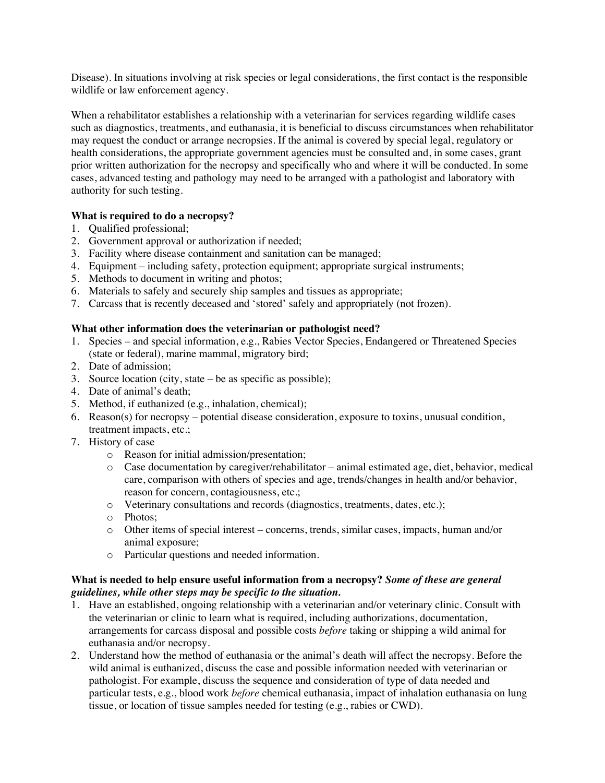Disease). In situations involving at risk species or legal considerations, the first contact is the responsible wildlife or law enforcement agency.

When a rehabilitator establishes a relationship with a veterinarian for services regarding wildlife cases such as diagnostics, treatments, and euthanasia, it is beneficial to discuss circumstances when rehabilitator may request the conduct or arrange necropsies. If the animal is covered by special legal, regulatory or health considerations, the appropriate government agencies must be consulted and, in some cases, grant prior written authorization for the necropsy and specifically who and where it will be conducted. In some cases, advanced testing and pathology may need to be arranged with a pathologist and laboratory with authority for such testing.

# **What is required to do a necropsy?**

- 1. Qualified professional;
- 2. Government approval or authorization if needed;
- 3. Facility where disease containment and sanitation can be managed;
- 4. Equipment including safety, protection equipment; appropriate surgical instruments;
- 5. Methods to document in writing and photos;
- 6. Materials to safely and securely ship samples and tissues as appropriate;
- 7. Carcass that is recently deceased and 'stored' safely and appropriately (not frozen).

# **What other information does the veterinarian or pathologist need?**

- 1. Species and special information, e.g., Rabies Vector Species, Endangered or Threatened Species (state or federal), marine mammal, migratory bird;
- 2. Date of admission;
- 3. Source location (city, state be as specific as possible);
- 4. Date of animal's death;
- 5. Method, if euthanized (e.g., inhalation, chemical);
- 6. Reason(s) for necropsy potential disease consideration, exposure to toxins, unusual condition, treatment impacts, etc.;
- 7. History of case
	- o Reason for initial admission/presentation;
	- $\circ$  Case documentation by caregiver/rehabilitator animal estimated age, diet, behavior, medical care, comparison with others of species and age, trends/changes in health and/or behavior, reason for concern, contagiousness, etc.;
	- o Veterinary consultations and records (diagnostics, treatments, dates, etc.);
	- o Photos;
	- o Other items of special interest concerns, trends, similar cases, impacts, human and/or animal exposure;
	- o Particular questions and needed information.

# **What is needed to help ensure useful information from a necropsy?** *Some of these are general guidelines, while other steps may be specific to the situation.*

- 1. Have an established, ongoing relationship with a veterinarian and/or veterinary clinic. Consult with the veterinarian or clinic to learn what is required, including authorizations, documentation, arrangements for carcass disposal and possible costs *before* taking or shipping a wild animal for euthanasia and/or necropsy.
- 2. Understand how the method of euthanasia or the animal's death will affect the necropsy. Before the wild animal is euthanized, discuss the case and possible information needed with veterinarian or pathologist. For example, discuss the sequence and consideration of type of data needed and particular tests, e.g., blood work *before* chemical euthanasia, impact of inhalation euthanasia on lung tissue, or location of tissue samples needed for testing (e.g., rabies or CWD).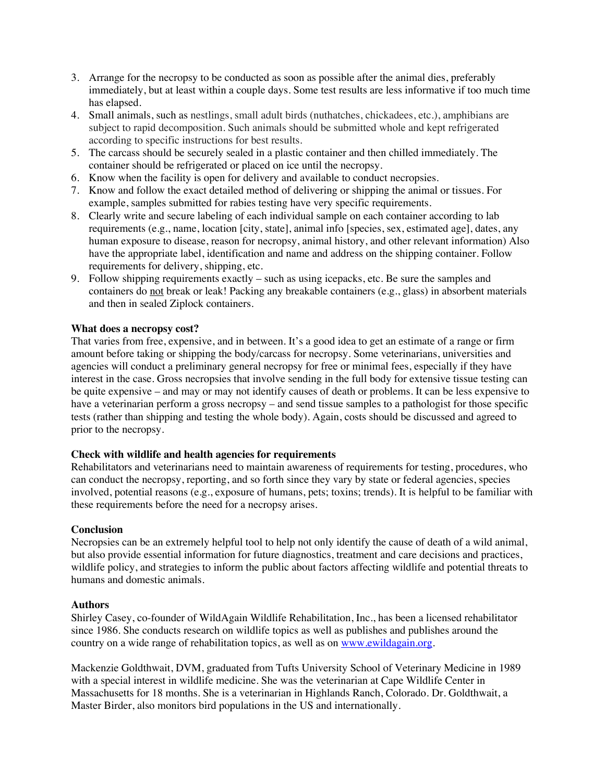- 3. Arrange for the necropsy to be conducted as soon as possible after the animal dies, preferably immediately, but at least within a couple days. Some test results are less informative if too much time has elapsed.
- 4. Small animals, such as nestlings, small adult birds (nuthatches, chickadees, etc.), amphibians are subject to rapid decomposition. Such animals should be submitted whole and kept refrigerated according to specific instructions for best results.
- 5. The carcass should be securely sealed in a plastic container and then chilled immediately. The container should be refrigerated or placed on ice until the necropsy.
- 6. Know when the facility is open for delivery and available to conduct necropsies.
- 7. Know and follow the exact detailed method of delivering or shipping the animal or tissues. For example, samples submitted for rabies testing have very specific requirements.
- 8. Clearly write and secure labeling of each individual sample on each container according to lab requirements (e.g., name, location [city, state], animal info [species, sex, estimated age], dates, any human exposure to disease, reason for necropsy, animal history, and other relevant information) Also have the appropriate label, identification and name and address on the shipping container. Follow requirements for delivery, shipping, etc.
- 9. Follow shipping requirements exactly such as using icepacks, etc. Be sure the samples and containers do not break or leak! Packing any breakable containers (e.g., glass) in absorbent materials and then in sealed Ziplock containers.

# **What does a necropsy cost?**

That varies from free, expensive, and in between. It's a good idea to get an estimate of a range or firm amount before taking or shipping the body/carcass for necropsy. Some veterinarians, universities and agencies will conduct a preliminary general necropsy for free or minimal fees, especially if they have interest in the case. Gross necropsies that involve sending in the full body for extensive tissue testing can be quite expensive – and may or may not identify causes of death or problems. It can be less expensive to have a veterinarian perform a gross necropsy – and send tissue samples to a pathologist for those specific tests (rather than shipping and testing the whole body). Again, costs should be discussed and agreed to prior to the necropsy.

# **Check with wildlife and health agencies for requirements**

Rehabilitators and veterinarians need to maintain awareness of requirements for testing, procedures, who can conduct the necropsy, reporting, and so forth since they vary by state or federal agencies, species involved, potential reasons (e.g., exposure of humans, pets; toxins; trends). It is helpful to be familiar with these requirements before the need for a necropsy arises.

# **Conclusion**

Necropsies can be an extremely helpful tool to help not only identify the cause of death of a wild animal, but also provide essential information for future diagnostics, treatment and care decisions and practices, wildlife policy, and strategies to inform the public about factors affecting wildlife and potential threats to humans and domestic animals.

# **Authors**

Shirley Casey, co-founder of WildAgain Wildlife Rehabilitation, Inc., has been a licensed rehabilitator since 1986. She conducts research on wildlife topics as well as publishes and publishes around the country on a wide range of rehabilitation topics, as well as on www.ewildagain.org.

Mackenzie Goldthwait, DVM, graduated from Tufts University School of Veterinary Medicine in 1989 with a special interest in wildlife medicine. She was the veterinarian at Cape Wildlife Center in Massachusetts for 18 months. She is a veterinarian in Highlands Ranch, Colorado. Dr. Goldthwait, a Master Birder, also monitors bird populations in the US and internationally.